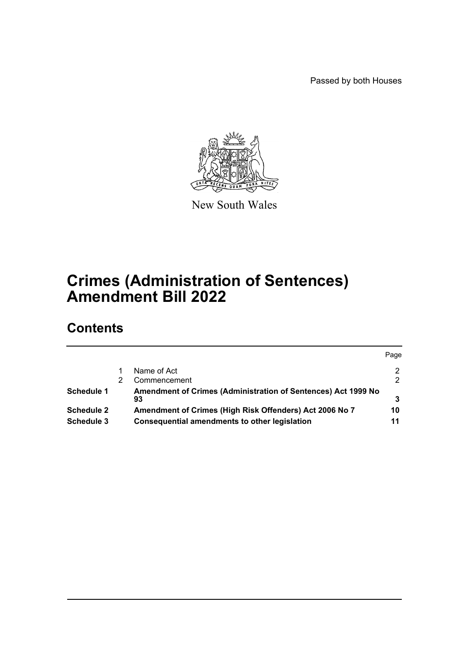Passed by both Houses



New South Wales

# **Crimes (Administration of Sentences) Amendment Bill 2022**

## **Contents**

|                   |                                                                     | Page |
|-------------------|---------------------------------------------------------------------|------|
|                   | Name of Act                                                         | 2    |
|                   | Commencement                                                        | 2    |
| Schedule 1        | Amendment of Crimes (Administration of Sentences) Act 1999 No<br>93 |      |
| <b>Schedule 2</b> | Amendment of Crimes (High Risk Offenders) Act 2006 No 7             | 10   |
| Schedule 3        | <b>Consequential amendments to other legislation</b>                | 11   |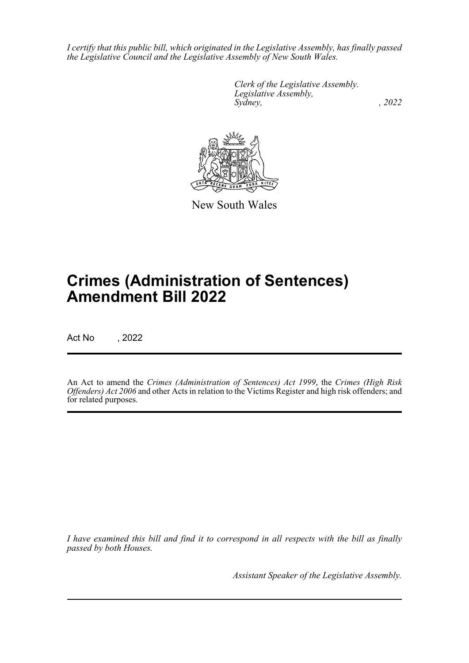*I certify that this public bill, which originated in the Legislative Assembly, has finally passed the Legislative Council and the Legislative Assembly of New South Wales.*

> *Clerk of the Legislative Assembly. Legislative Assembly, Sydney, , 2022*



New South Wales

# **Crimes (Administration of Sentences) Amendment Bill 2022**

Act No , 2022

An Act to amend the *Crimes (Administration of Sentences) Act 1999*, the *Crimes (High Risk Offenders) Act 2006* and other Acts in relation to the Victims Register and high risk offenders; and for related purposes.

*I have examined this bill and find it to correspond in all respects with the bill as finally passed by both Houses.*

*Assistant Speaker of the Legislative Assembly.*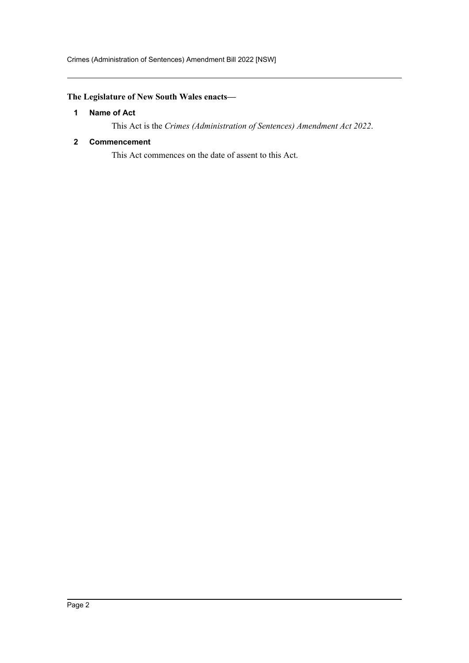### <span id="page-2-0"></span>**The Legislature of New South Wales enacts—**

#### **1 Name of Act**

This Act is the *Crimes (Administration of Sentences) Amendment Act 2022*.

#### <span id="page-2-1"></span>**2 Commencement**

This Act commences on the date of assent to this Act.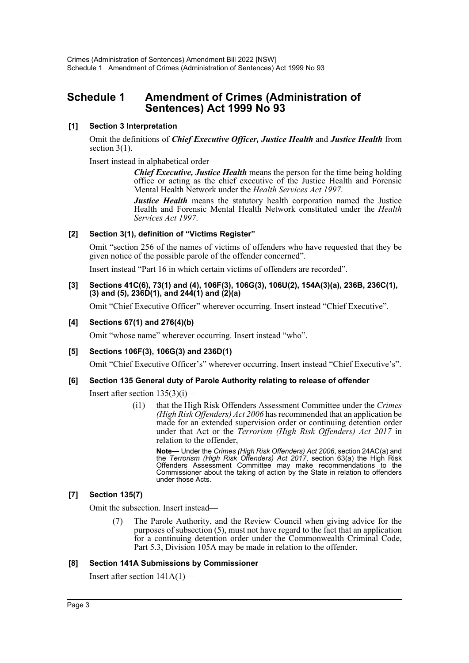## <span id="page-3-0"></span>**Schedule 1 Amendment of Crimes (Administration of Sentences) Act 1999 No 93**

#### **[1] Section 3 Interpretation**

Omit the definitions of *Chief Executive Officer, Justice Health* and *Justice Health* from section 3(1).

Insert instead in alphabetical order—

*Chief Executive, Justice Health* means the person for the time being holding office or acting as the chief executive of the Justice Health and Forensic Mental Health Network under the *Health Services Act 1997*.

*Justice Health* means the statutory health corporation named the Justice Health and Forensic Mental Health Network constituted under the *Health Services Act 1997*.

#### **[2] Section 3(1), definition of "Victims Register"**

Omit "section 256 of the names of victims of offenders who have requested that they be given notice of the possible parole of the offender concerned".

Insert instead "Part 16 in which certain victims of offenders are recorded".

#### **[3] Sections 41C(6), 73(1) and (4), 106F(3), 106G(3), 106U(2), 154A(3)(a), 236B, 236C(1), (3) and (5), 236D(1), and 244(1) and (2)(a)**

Omit "Chief Executive Officer" wherever occurring. Insert instead "Chief Executive".

#### **[4] Sections 67(1) and 276(4)(b)**

Omit "whose name" wherever occurring. Insert instead "who".

#### **[5] Sections 106F(3), 106G(3) and 236D(1)**

Omit "Chief Executive Officer's" wherever occurring. Insert instead "Chief Executive's".

#### **[6] Section 135 General duty of Parole Authority relating to release of offender**

Insert after section 135(3)(i)—

(i1) that the High Risk Offenders Assessment Committee under the *Crimes (High Risk Offenders) Act 2006* has recommended that an application be made for an extended supervision order or continuing detention order under that Act or the *Terrorism (High Risk Offenders) Act 2017* in relation to the offender,

**Note—** Under the *Crimes (High Risk Offenders) Act 2006*, section 24AC(a) and the *Terrorism (High Risk Offenders) Act 2017*, section 63(a) the High Risk Offenders Assessment Committee may make recommendations to the Commissioner about the taking of action by the State in relation to offenders under those Acts.

#### **[7] Section 135(7)**

Omit the subsection. Insert instead—

(7) The Parole Authority, and the Review Council when giving advice for the purposes of subsection (5), must not have regard to the fact that an application for a continuing detention order under the Commonwealth Criminal Code, Part 5.3, Division 105A may be made in relation to the offender.

#### **[8] Section 141A Submissions by Commissioner**

Insert after section 141A(1)—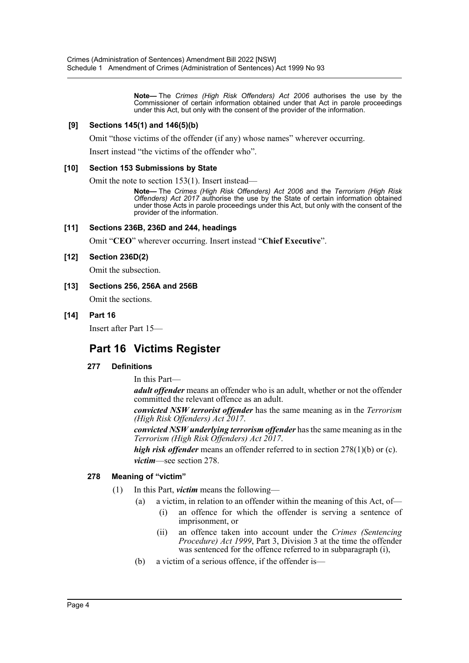**Note—** The *Crimes (High Risk Offenders) Act 2006* authorises the use by the Commissioner of certain information obtained under that Act in parole proceedings under this Act, but only with the consent of the provider of the information.

#### **[9] Sections 145(1) and 146(5)(b)**

Omit "those victims of the offender (if any) whose names" wherever occurring.

Insert instead "the victims of the offender who".

#### **[10] Section 153 Submissions by State**

Omit the note to section 153(1). Insert instead—

**Note—** The *Crimes (High Risk Offenders) Act 2006* and the *Terrorism (High Risk Offenders) Act 2017* authorise the use by the State of certain information obtained under those Acts in parole proceedings under this Act, but only with the consent of the provider of the information.

#### **[11] Sections 236B, 236D and 244, headings**

Omit "**CEO**" wherever occurring. Insert instead "**Chief Executive**".

#### **[12] Section 236D(2)**

Omit the subsection.

**[13] Sections 256, 256A and 256B** Omit the sections.

#### **[14] Part 16**

Insert after Part 15—

## **Part 16 Victims Register**

#### **277 Definitions**

In this Part—

*adult offender* means an offender who is an adult, whether or not the offender committed the relevant offence as an adult.

*convicted NSW terrorist offender* has the same meaning as in the *Terrorism (High Risk Offenders) Act 2017*.

*convicted NSW underlying terrorism offender* has the same meaning as in the *Terrorism (High Risk Offenders) Act 2017*.

*high risk offender* means an offender referred to in section 278(1)(b) or (c).

*victim*—see section 278.

#### **278 Meaning of "victim"**

- (1) In this Part, *victim* means the following—
	- (a) a victim, in relation to an offender within the meaning of this Act, of—
		- (i) an offence for which the offender is serving a sentence of imprisonment, or
		- (ii) an offence taken into account under the *Crimes (Sentencing Procedure) Act 1999*, Part 3, Division 3 at the time the offender was sentenced for the offence referred to in subparagraph (i),
	- (b) a victim of a serious offence, if the offender is—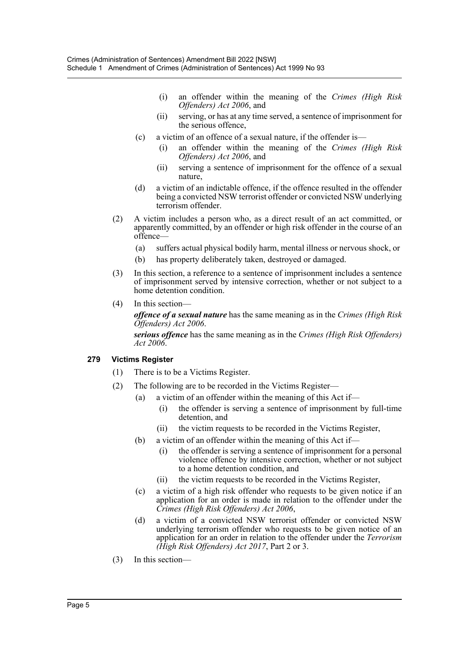- (i) an offender within the meaning of the *Crimes (High Risk Offenders) Act 2006*, and
- (ii) serving, or has at any time served, a sentence of imprisonment for the serious offence,
- (c) a victim of an offence of a sexual nature, if the offender is—
	- (i) an offender within the meaning of the *Crimes (High Risk Offenders) Act 2006*, and
	- (ii) serving a sentence of imprisonment for the offence of a sexual nature,
- (d) a victim of an indictable offence, if the offence resulted in the offender being a convicted NSW terrorist offender or convicted NSW underlying terrorism offender.
- (2) A victim includes a person who, as a direct result of an act committed, or apparently committed, by an offender or high risk offender in the course of an offence—
	- (a) suffers actual physical bodily harm, mental illness or nervous shock, or
	- (b) has property deliberately taken, destroyed or damaged.
- (3) In this section, a reference to a sentence of imprisonment includes a sentence of imprisonment served by intensive correction, whether or not subject to a home detention condition.
- (4) In this section—

*offence of a sexual nature* has the same meaning as in the *Crimes (High Risk Offenders) Act 2006*.

*serious offence* has the same meaning as in the *Crimes (High Risk Offenders) Act 2006*.

#### **279 Victims Register**

- (1) There is to be a Victims Register.
- (2) The following are to be recorded in the Victims Register—
	- (a) a victim of an offender within the meaning of this Act if—
		- (i) the offender is serving a sentence of imprisonment by full-time detention, and
		- (ii) the victim requests to be recorded in the Victims Register,
	- (b) a victim of an offender within the meaning of this Act if—
		- (i) the offender is serving a sentence of imprisonment for a personal violence offence by intensive correction, whether or not subject to a home detention condition, and
		- (ii) the victim requests to be recorded in the Victims Register,
	- (c) a victim of a high risk offender who requests to be given notice if an application for an order is made in relation to the offender under the *Crimes (High Risk Offenders) Act 2006*,
	- (d) a victim of a convicted NSW terrorist offender or convicted NSW underlying terrorism offender who requests to be given notice of an application for an order in relation to the offender under the *Terrorism (High Risk Offenders) Act 2017*, Part 2 or 3.
- (3) In this section—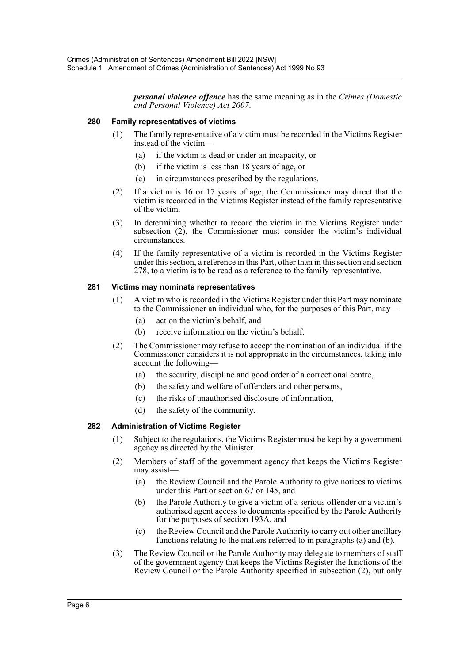*personal violence offence* has the same meaning as in the *Crimes (Domestic and Personal Violence) Act 2007*.

#### **280 Family representatives of victims**

- (1) The family representative of a victim must be recorded in the Victims Register instead of the victim—
	- (a) if the victim is dead or under an incapacity, or
	- (b) if the victim is less than 18 years of age, or
	- (c) in circumstances prescribed by the regulations.
- (2) If a victim is 16 or 17 years of age, the Commissioner may direct that the victim is recorded in the Victims Register instead of the family representative of the victim.
- (3) In determining whether to record the victim in the Victims Register under subsection (2), the Commissioner must consider the victim's individual circumstances.
- (4) If the family representative of a victim is recorded in the Victims Register under this section, a reference in this Part, other than in this section and section 278, to a victim is to be read as a reference to the family representative.

#### **281 Victims may nominate representatives**

- (1) A victim who is recorded in the Victims Register under this Part may nominate to the Commissioner an individual who, for the purposes of this Part, may—
	- (a) act on the victim's behalf, and
	- (b) receive information on the victim's behalf.
- (2) The Commissioner may refuse to accept the nomination of an individual if the Commissioner considers it is not appropriate in the circumstances, taking into account the following—
	- (a) the security, discipline and good order of a correctional centre,
	- (b) the safety and welfare of offenders and other persons,
	- (c) the risks of unauthorised disclosure of information,
	- (d) the safety of the community.

#### **282 Administration of Victims Register**

- (1) Subject to the regulations, the Victims Register must be kept by a government agency as directed by the Minister.
- (2) Members of staff of the government agency that keeps the Victims Register may assist—
	- (a) the Review Council and the Parole Authority to give notices to victims under this Part or section 67 or 145, and
	- (b) the Parole Authority to give a victim of a serious offender or a victim's authorised agent access to documents specified by the Parole Authority for the purposes of section 193A, and
	- (c) the Review Council and the Parole Authority to carry out other ancillary functions relating to the matters referred to in paragraphs (a) and (b).
- (3) The Review Council or the Parole Authority may delegate to members of staff of the government agency that keeps the Victims Register the functions of the Review Council or the Parole Authority specified in subsection (2), but only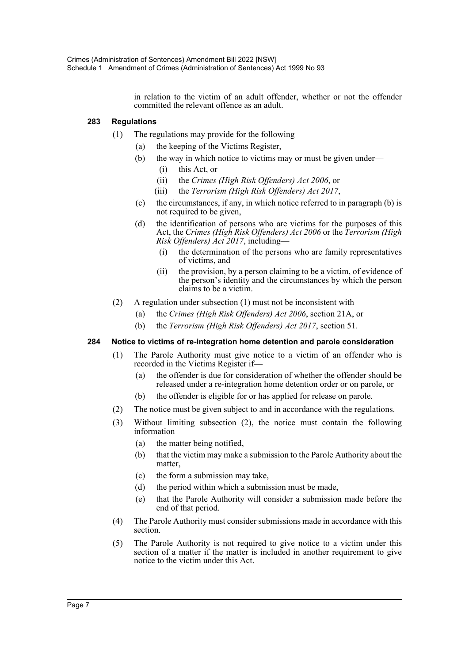in relation to the victim of an adult offender, whether or not the offender committed the relevant offence as an adult.

#### **283 Regulations**

- (1) The regulations may provide for the following—
	- (a) the keeping of the Victims Register,
	- (b) the way in which notice to victims may or must be given under—
		- (i) this Act, or
		- (ii) the *Crimes (High Risk Offenders) Act 2006*, or
		- (iii) the *Terrorism (High Risk Offenders) Act 2017*,
	- (c) the circumstances, if any, in which notice referred to in paragraph (b) is not required to be given,
	- (d) the identification of persons who are victims for the purposes of this Act, the *Crimes (High Risk Offenders) Act 2006* or the *Terrorism (High Risk Offenders) Act 2017*, including—
		- (i) the determination of the persons who are family representatives of victims, and
		- (ii) the provision, by a person claiming to be a victim, of evidence of the person's identity and the circumstances by which the person claims to be a victim.
- (2) A regulation under subsection (1) must not be inconsistent with—
	- (a) the *Crimes (High Risk Offenders) Act 2006*, section 21A, or
	- (b) the *Terrorism (High Risk Offenders) Act 2017*, section 51.

#### **284 Notice to victims of re-integration home detention and parole consideration**

- (1) The Parole Authority must give notice to a victim of an offender who is recorded in the Victims Register if—
	- (a) the offender is due for consideration of whether the offender should be released under a re-integration home detention order or on parole, or
	- (b) the offender is eligible for or has applied for release on parole.
- (2) The notice must be given subject to and in accordance with the regulations.
- (3) Without limiting subsection (2), the notice must contain the following information—
	- (a) the matter being notified,
	- (b) that the victim may make a submission to the Parole Authority about the matter,
	- (c) the form a submission may take,
	- (d) the period within which a submission must be made,
	- (e) that the Parole Authority will consider a submission made before the end of that period.
- (4) The Parole Authority must consider submissions made in accordance with this section.
- (5) The Parole Authority is not required to give notice to a victim under this section of a matter if the matter is included in another requirement to give notice to the victim under this Act.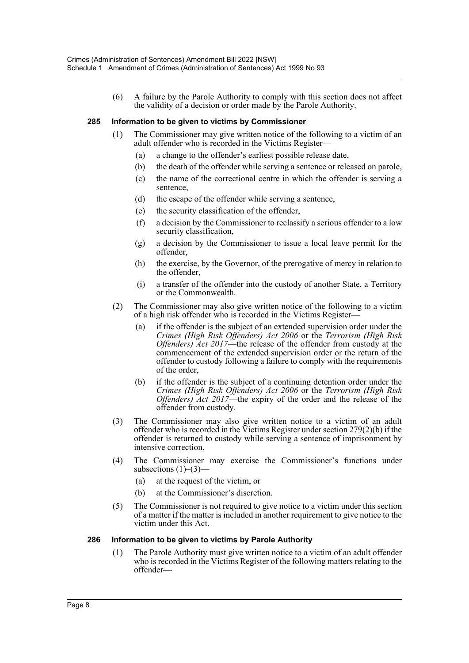(6) A failure by the Parole Authority to comply with this section does not affect the validity of a decision or order made by the Parole Authority.

#### **285 Information to be given to victims by Commissioner**

- (1) The Commissioner may give written notice of the following to a victim of an adult offender who is recorded in the Victims Register—
	- (a) a change to the offender's earliest possible release date,
	- (b) the death of the offender while serving a sentence or released on parole,
	- (c) the name of the correctional centre in which the offender is serving a sentence,
	- (d) the escape of the offender while serving a sentence,
	- (e) the security classification of the offender,
	- (f) a decision by the Commissioner to reclassify a serious offender to a low security classification,
	- (g) a decision by the Commissioner to issue a local leave permit for the offender,
	- (h) the exercise, by the Governor, of the prerogative of mercy in relation to the offender,
	- (i) a transfer of the offender into the custody of another State, a Territory or the Commonwealth.
- (2) The Commissioner may also give written notice of the following to a victim of a high risk offender who is recorded in the Victims Register—
	- (a) if the offender is the subject of an extended supervision order under the *Crimes (High Risk Offenders) Act 2006* or the *Terrorism (High Risk Offenders) Act 2017*—the release of the offender from custody at the commencement of the extended supervision order or the return of the offender to custody following a failure to comply with the requirements of the order,
	- (b) if the offender is the subject of a continuing detention order under the *Crimes (High Risk Offenders) Act 2006* or the *Terrorism (High Risk Offenders) Act 2017*—the expiry of the order and the release of the offender from custody.
- (3) The Commissioner may also give written notice to a victim of an adult offender who is recorded in the Victims Register under section 279(2)(b) if the offender is returned to custody while serving a sentence of imprisonment by intensive correction.
- (4) The Commissioner may exercise the Commissioner's functions under subsections  $(1)$ – $(3)$ –
	- (a) at the request of the victim, or
	- (b) at the Commissioner's discretion.
- (5) The Commissioner is not required to give notice to a victim under this section of a matter if the matter is included in another requirement to give notice to the victim under this Act.

#### **286 Information to be given to victims by Parole Authority**

(1) The Parole Authority must give written notice to a victim of an adult offender who is recorded in the Victims Register of the following matters relating to the offender—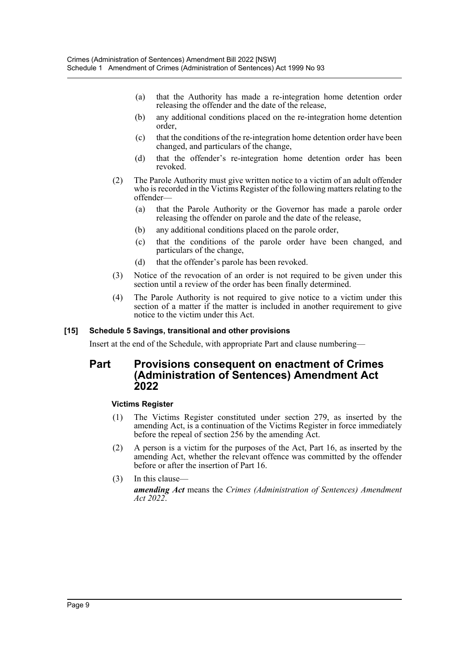- (a) that the Authority has made a re-integration home detention order releasing the offender and the date of the release,
- (b) any additional conditions placed on the re-integration home detention order,
- (c) that the conditions of the re-integration home detention order have been changed, and particulars of the change,
- (d) that the offender's re-integration home detention order has been revoked.
- (2) The Parole Authority must give written notice to a victim of an adult offender who is recorded in the Victims Register of the following matters relating to the offender—
	- (a) that the Parole Authority or the Governor has made a parole order releasing the offender on parole and the date of the release,
	- (b) any additional conditions placed on the parole order,
	- (c) that the conditions of the parole order have been changed, and particulars of the change,
	- (d) that the offender's parole has been revoked.
- (3) Notice of the revocation of an order is not required to be given under this section until a review of the order has been finally determined.
- (4) The Parole Authority is not required to give notice to a victim under this section of a matter if the matter is included in another requirement to give notice to the victim under this Act.

#### **[15] Schedule 5 Savings, transitional and other provisions**

Insert at the end of the Schedule, with appropriate Part and clause numbering—

### **Part Provisions consequent on enactment of Crimes (Administration of Sentences) Amendment Act 2022**

#### **Victims Register**

- (1) The Victims Register constituted under section 279, as inserted by the amending Act, is a continuation of the Victims Register in force immediately before the repeal of section 256 by the amending Act.
- (2) A person is a victim for the purposes of the Act, Part 16, as inserted by the amending Act, whether the relevant offence was committed by the offender before or after the insertion of Part 16.
- (3) In this clause *amending Act* means the *Crimes (Administration of Sentences) Amendment Act 2022*.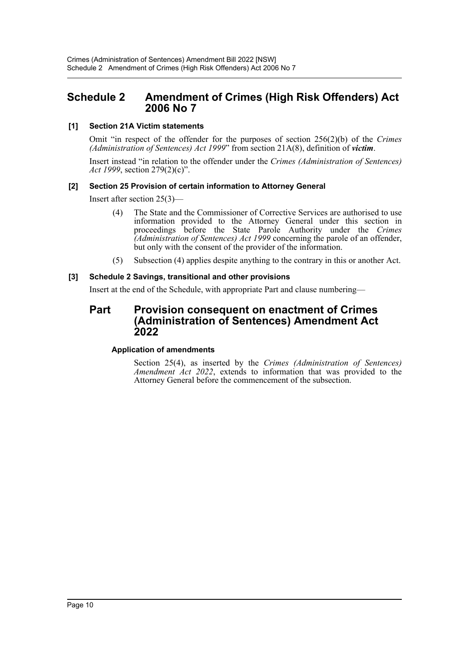## <span id="page-10-0"></span>**Schedule 2 Amendment of Crimes (High Risk Offenders) Act 2006 No 7**

#### **[1] Section 21A Victim statements**

Omit "in respect of the offender for the purposes of section 256(2)(b) of the *Crimes (Administration of Sentences) Act 1999*" from section 21A(8), definition of *victim*.

Insert instead "in relation to the offender under the *Crimes (Administration of Sentences) Act 1999*, section 279(2)(c)".

#### **[2] Section 25 Provision of certain information to Attorney General**

Insert after section 25(3)—

- (4) The State and the Commissioner of Corrective Services are authorised to use information provided to the Attorney General under this section in proceedings before the State Parole Authority under the *Crimes (Administration of Sentences) Act 1999* concerning the parole of an offender, but only with the consent of the provider of the information.
- (5) Subsection (4) applies despite anything to the contrary in this or another Act.

#### **[3] Schedule 2 Savings, transitional and other provisions**

Insert at the end of the Schedule, with appropriate Part and clause numbering—

## **Part Provision consequent on enactment of Crimes (Administration of Sentences) Amendment Act 2022**

#### **Application of amendments**

Section 25(4), as inserted by the *Crimes (Administration of Sentences) Amendment Act 2022*, extends to information that was provided to the Attorney General before the commencement of the subsection.